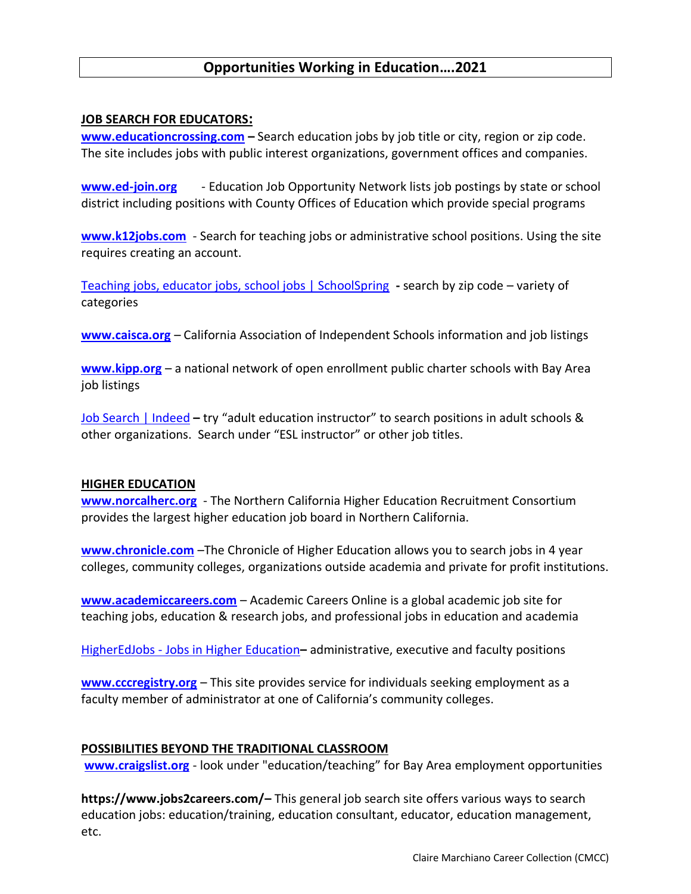# **Opportunities Working in Education….2021**

### **JOB SEARCH FOR EDUCATORS:**

**[www.educationcrossing.com](http://www.educationcrossing.com/) –** Search education jobs by job title or city, region or zip code. The site includes jobs with public interest organizations, government offices and companies.

**[www.ed-join.org](http://www.ed-join.org/)** - Education Job Opportunity Network lists job postings by state or school district including positions with County Offices of Education which provide special programs

**[www.k12jobs.com](http://www.k12jobs.com/)** - Search for teaching jobs or administrative school positions. Using the site requires creating an account.

[Teaching jobs, educator jobs, school jobs | SchoolSpring](https://www.schoolspring.com/) **-** search by zip code – variety of categories

**[www.caisca.org](http://www.caisca.org/)** – California Association of Independent Schools information and job listings

**[www.kipp.org](http://www.kipp.org/)** – a national network of open enrollment public charter schools with Bay Area job listings

[Job Search | Indeed](https://www.indeed.com/) **–** try "adult education instructor" to search positions in adult schools & other organizations. Search under "ESL instructor" or other job titles.

#### **HIGHER EDUCATION**

**[www.norcalherc.org](http://www.norcalherc.org/)** - The Northern California Higher Education Recruitment Consortium provides the largest higher education job board in Northern California.

**[www.chronicle.com](http://www.chronicle.com/)** –The Chronicle of Higher Education allows you to search jobs in 4 year colleges, community colleges, organizations outside academia and private for profit institutions.

**[www.academiccareers.com](http://www.academiccareers.com/)** – Academic Careers Online is a global academic job site for teaching jobs, education & research jobs, and professional jobs in education and academia

HigherEdJobs - [Jobs in Higher Education](https://www.higheredjobs.com/)**–** administrative, executive and faculty positions

**[www.cccregistry.org](http://www.cccregistry.org/)** – This site provides service for individuals seeking employment as a faculty member of administrator at one of California's community colleges.

### **POSSIBILITIES BEYOND THE TRADITIONAL CLASSROOM**

**[www.craigslist.org](http://www.craigslist.org/)** - look under "education/teaching" for Bay Area employment opportunities

**https://www.jobs2careers.com/–** This general job search site offers various ways to search education jobs: education/training, education consultant, educator, education management, etc.